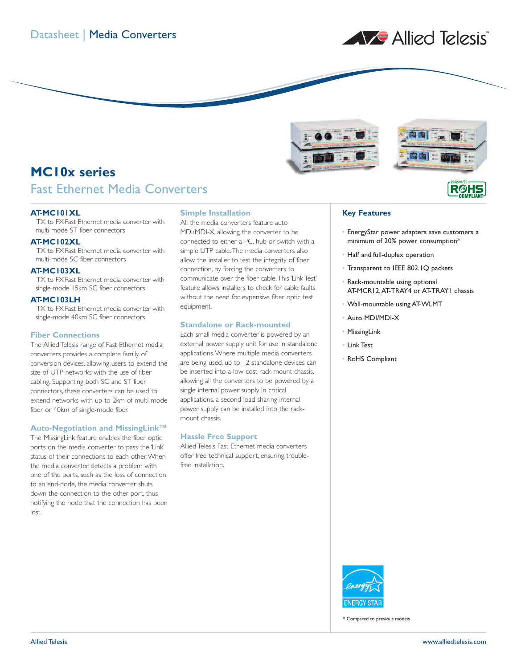





**RØH** 

# **MC10x series**

## Fast Ethernet Media Converters

#### **AT-MC101XL**

TX to FX Fast Ethernet media converter with multi-mode ST fiber connectors

### **AT-MC102XL**

TX to FX Fast Ethernet media converter with multi-mode SC fiber connectors

#### **AT-MC103XL**

TX to FX Fast Ethernet media converter with single-mode 15km SC fiber connectors

#### **AT-MC103LH**

TX to FX Fast Ethernet media converter with single-mode 40km SC fiber connectors

#### **Fiber Connections**

The Allied Telesis range of Fast Ethernet media converters provides a complete family of conversion devices, allowing users to extend the size of UTP networks with the use of fiber cabling. Supporting both SC and ST fiber connectors, these converters can be used to extend networks with up to 2km of multi-mode fiber or 40km of single-mode fiber.

#### **Auto-Negotiation and MissingLink™**

The MissingLink feature enables the fiber optic ports on the media converter to pass the 'Link' status of their connections to each other.When the media converter detects a problem with one of the ports, such as the loss of connection to an end-node, the media converter shuts down the connection to the other port, thus notifying the node that the connection has been lost.

#### **Simple Installation**

All the media converters feature auto MDI/MDI-X, allowing the converter to be connected to either a PC, hub or switch with a simple UTP cable.The media converters also allow the installer to test the integrity of fiber connection, by forcing the converters to communicate over the fiber cable.This 'Link Test' feature allows installers to check for cable faults without the need for expensive fiber optic test equipment.

#### **Standalone or Rack-mounted**

Each small media converter is powered by an external power supply unit for use in standalone applications.Where multiple media converters are being used, up to 12 standalone devices can be inserted into a low-cost rack-mount chassis, allowing all the converters to be powered by a single internal power supply. In critical applications, a second load sharing internal power supply can be installed into the rackmount chassis.

#### **Hassle Free Support**

Allied Telesis Fast Ethernet media converters offer free technical support, ensuring troublefree installation.

#### **Key Features**

- EnergyStar power adapters save customers a minimum of 20% power consumption\*
- Half and full-duplex operation
- Transparent to IEEE 802.1Q packets
- Rack-mountable using optional AT-MCR12,AT-TRAY4 or AT-TRAY1 chassis
- Wall-mountable using AT-WLMT
- Auto MDI/MDI-X
- **MissingLink**
- Link Test
- RoHS Compliant



\* Compared to previous models